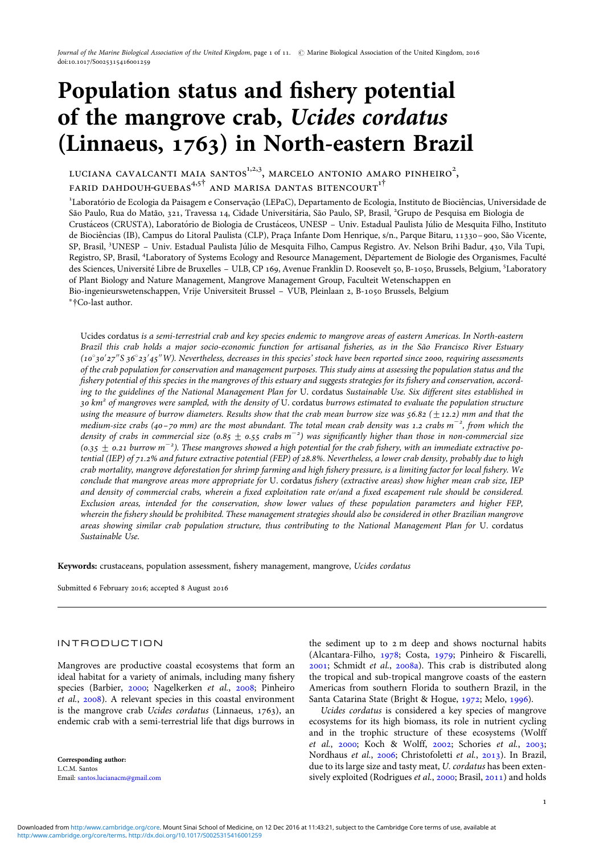# Population status and fishery potential of the mangrove crab, Ucides cordatus (Linnaeus, 1763) in North-eastern Brazil

LUCIANA CAVALCANTI MAIA SANTOS $^{1,2,3}$ , MARCELO ANTONIO AMARO PINHEIRO $^{2},$ FARID DAHDOUH-GUEBAS $4.5^{\dagger}$  and marisa dantas bitencourt<sup>1</sup>

<sup>1</sup>Laboratório de Ecologia da Paisagem e Conservação (LEPaC), Departamento de Ecologia, Instituto de Biociências, Universidade de São Paulo, Rua do Matão, 321, Travessa 14, Cidade Universitária, São Paulo, SP, Brasil, <sup>2</sup>Grupo de Pesquisa em Biologia de Crustáceos (CRUSTA), Laboratório de Biologia de Crustáceos, UNESP – Univ. Estadual Paulista Júlio de Mesquita Filho, Instituto de Biociências (IB), Campus do Litoral Paulista (CLP), Praça Infante Dom Henrique, s/n., Parque Bitaru, 11330-900, São Vicente, SP, Brasil, <sup>3</sup>UNESP – Univ. Estadual Paulista Júlio de Mesquita Filho, Campus Registro. Av. Nelson Brihi Badur, 430, Vila Tupi, Registro, SP, Brasil, <sup>4</sup>Laboratory of Systems Ecology and Resource Management, Département de Biologie des Organismes, Faculté des Sciences, Université Libre de Bruxelles - ULB, CP 169, Avenue Franklin D. Roosevelt 50, B-1050, Brussels, Belgium, <sup>5</sup>Laboratory of Plant Biology and Nature Management, Mangrove Management Group, Faculteit Wetenschappen en Bio-ingenieurswetenschappen, Vrije Universiteit Brussel – VUB, Pleinlaan 2, B-1050 Brussels, Belgium ∗†Co-last author.

Ucides cordatus is a semi-terrestrial crab and key species endemic to mangrove areas of eastern Americas. In North-eastern Brazil this crab holds a major socio-economic function for artisanal fisheries, as in the São Francisco River Estuary (10°30'27″S 36°23'45″W). Nevertheless, decreases in this species' stock have been reported since 2000, requiring assessments of the crab population for conservation and management purposes. This study aims at assessing the population status and the fishery potential of this species in the mangroves of this estuary and suggests strategies for its fishery and conservation, according to the guidelines of the National Management Plan for U. cordatus Sustainable Use. Six different sites established in 30 km<sup>2</sup> of mangroves were sampled, with the density of U. cordatus burrows estimated to evaluate the population structure using the measure of burrow diameters. Results show that the crab mean burrow size was  $56.82 \ (\pm 12.2)$  mm and that the medium-size crabs (40-70 mm) are the most abundant. The total mean crab density was 1.2 crabs m $^{-2}$ , from which the density of crabs in commercial size (0.85  $\pm$  0.55 crabs m<sup>-2</sup>) was significantly higher than those in non-commercial size (0.35  $\pm$  0.21 burrow m<sup>-2</sup>). These mangroves showed a high potential for the crab fishery, with an immediate extractive potential (IEP) of 71.2% and future extractive potential (FEP) of 28.8%. Nevertheless, a lower crab density, probably due to high crab mortality, mangrove deforestation for shrimp farming and high fishery pressure, is a limiting factor for local fishery. We conclude that mangrove areas more appropriate for U. cordatus fishery (extractive areas) show higher mean crab size, IEP and density of commercial crabs, wherein a fixed exploitation rate or/and a fixed escapement rule should be considered. Exclusion areas, intended for the conservation, show lower values of these population parameters and higher FEP, wherein the fishery should be prohibited. These management strategies should also be considered in other Brazilian mangrove areas showing similar crab population structure, thus contributing to the National Management Plan for U. cordatus Sustainable Use.

Keywords: crustaceans, population assessment, fishery management, mangrove, Ucides cordatus

Submitted 6 February 2016; accepted 8 August 2016

## INTRODUCTION

Mangroves are productive coastal ecosystems that form an ideal habitat for a variety of animals, including many fishery species (Barbier, [2000;](#page-8-0) Nagelkerken et al., [2008;](#page-9-0) Pinheiro et al., [2008](#page-10-0)). A relevant species in this coastal environment is the mangrove crab Ucides cordatus (Linnaeus, 1763), an endemic crab with a semi-terrestrial life that digs burrows in

Corresponding author: L.C.M. Santos Email: [santos.lucianacm@gmail.com](mailto:santos.lucianacm@gmail.com)

the sediment up to 2 m deep and shows nocturnal habits (Alcantara-Filho, [1978](#page-8-0); Costa, [1979;](#page-9-0) Pinheiro & Fiscarelli, [2001;](#page-10-0) Schmidt et al., [2008a](#page-10-0)). This crab is distributed along the tropical and sub-tropical mangrove coasts of the eastern Americas from southern Florida to southern Brazil, in the Santa Catarina State (Bright & Hogue, [1972](#page-9-0); Melo, [1996\)](#page-9-0).

Ucides cordatus is considered a key species of mangrove ecosystems for its high biomass, its role in nutrient cycling and in the trophic structure of these ecosystems (Wolff et al., [2000;](#page-10-0) Koch & Wolff, [2002;](#page-9-0) Schories et al., [2003](#page-10-0); Nordhaus et al., [2006;](#page-9-0) Christofoletti et al., [2013](#page-9-0)). In Brazil, due to its large size and tasty meat, U. cordatus has been extensively exploited (Rodrigues et al., [2000](#page-10-0); Brasil, [2011](#page-8-0)) and holds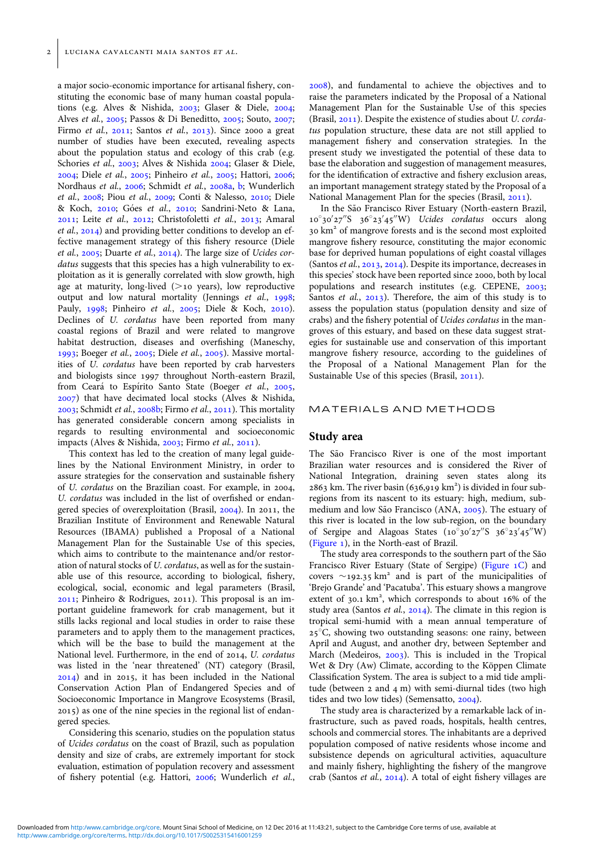a major socio-economic importance for artisanal fishery, constituting the economic base of many human coastal populations (e.g. Alves & Nishida, [2003;](#page-8-0) Glaser & Diele, [2004](#page-9-0); Alves et al., [2005;](#page-8-0) Passos & Di Beneditto, [2005](#page-9-0); Souto, [2007](#page-10-0); Firmo et al., [2011](#page-9-0); Santos et al., [2013\)](#page-10-0). Since 2000 a great number of studies have been executed, revealing aspects about the population status and ecology of this crab (e.g. Schories et al., [2003;](#page-10-0) Alves & Nishida [2004;](#page-8-0) Glaser & Diele, [2004;](#page-9-0) Diele et al., [2005;](#page-9-0) Pinheiro et al., [2005](#page-10-0); Hattori, [2006](#page-9-0); Nordhaus et al., [2006](#page-9-0); Schmidt et al., [2008a](#page-10-0), [b](#page-10-0); Wunderlich et al., [2008](#page-10-0); Piou et al., [2009](#page-10-0); Conti & Nalesso, [2010](#page-9-0); Diele & Koch, [2010](#page-9-0); Góes et al., [2010;](#page-9-0) Sandrini-Neto & Lana, [2011;](#page-10-0) Leite et al., [2012](#page-9-0); Christofoletti et al., [2013;](#page-9-0) Amaral et al., [2014\)](#page-8-0) and providing better conditions to develop an effective management strategy of this fishery resource (Diele et al., [2005](#page-9-0); Duarte et al., [2014](#page-9-0)). The large size of Ucides cordatus suggests that this species has a high vulnerability to exploitation as it is generally correlated with slow growth, high age at maturity, long-lived  $(>10$  years), low reproductive output and low natural mortality (Jennings et al., [1998](#page-9-0); Pauly, [1998](#page-9-0); Pinheiro et al., [2005](#page-10-0); Diele & Koch, [2010](#page-9-0)). Declines of U. cordatus have been reported from many coastal regions of Brazil and were related to mangrove habitat destruction, diseases and overfishing (Maneschy, [1993;](#page-9-0) Boeger et al., [2005;](#page-8-0) Diele et al., [2005](#page-9-0)). Massive mortalities of U. cordatus have been reported by crab harvesters and biologists since 1997 throughout North-eastern Brazil, from Ceará to Espírito Santo State (Boeger et al., [2005](#page-8-0), [2007\)](#page-8-0) that have decimated local stocks (Alves & Nishida, [2003;](#page-8-0) Schmidt et al., [2008b](#page-10-0); Firmo et al., [2011\)](#page-9-0). This mortality has generated considerable concern among specialists in regards to resulting environmental and socioeconomic impacts (Alves & Nishida, [2003](#page-8-0); Firmo et al., [2011](#page-9-0)).

This context has led to the creation of many legal guidelines by the National Environment Ministry, in order to assure strategies for the conservation and sustainable fishery of U. cordatus on the Brazilian coast. For example, in 2004, U. cordatus was included in the list of overfished or endangered species of overexploitation (Brasil, [2004\)](#page-8-0). In 2011, the Brazilian Institute of Environment and Renewable Natural Resources (IBAMA) published a Proposal of a National Management Plan for the Sustainable Use of this species, which aims to contribute to the maintenance and/or restoration of natural stocks of U. cordatus, as well as for the sustainable use of this resource, according to biological, fishery, ecological, social, economic and legal parameters (Brasil, [2011;](#page-8-0) Pinheiro & Rodrigues, 2011). This proposal is an important guideline framework for crab management, but it stills lacks regional and local studies in order to raise these parameters and to apply them to the management practices, which will be the base to build the management at the National level. Furthermore, in the end of 2014, U. cordatus was listed in the 'near threatened' (NT) category (Brasil, [2014\)](#page-9-0) and in 2015, it has been included in the National Conservation Action Plan of Endangered Species and of Socioeconomic Importance in Mangrove Ecosystems (Brasil, 2015) as one of the nine species in the regional list of endangered species.

Considering this scenario, studies on the population status of Ucides cordatus on the coast of Brazil, such as population density and size of crabs, are extremely important for stock evaluation, estimation of population recovery and assessment of fishery potential (e.g. Hattori, [2006;](#page-9-0) Wunderlich et al.,

[2008\)](#page-10-0), and fundamental to achieve the objectives and to raise the parameters indicated by the Proposal of a National Management Plan for the Sustainable Use of this species (Brasil, [2011](#page-8-0)). Despite the existence of studies about U. cordatus population structure, these data are not still applied to management fishery and conservation strategies. In the present study we investigated the potential of these data to base the elaboration and suggestion of management measures, for the identification of extractive and fishery exclusion areas, an important management strategy stated by the Proposal of a National Management Plan for the species (Brasil, [2011\)](#page-8-0).

In the São Francisco River Estuary (North-eastern Brazil, 10°30'27"S 36°23'45"W) Ucides cordatus occurs along 30 km2 of mangrove forests and is the second most exploited mangrove fishery resource, constituting the major economic base for deprived human populations of eight coastal villages (Santos et al., [2013,](#page-10-0) [2014](#page-10-0)). Despite its importance, decreases in this species' stock have been reported since 2000, both by local populations and research institutes (e.g. CEPENE, [2003](#page-9-0); Santos *et al.*,  $2013$ ). Therefore, the aim of this study is to assess the population status (population density and size of crabs) and the fishery potential of Ucides cordatus in the mangroves of this estuary, and based on these data suggest strategies for sustainable use and conservation of this important mangrove fishery resource, according to the guidelines of the Proposal of a National Management Plan for the Sustainable Use of this species (Brasil, [2011\)](#page-8-0).

#### MATERIALS AND METHODS

#### Study area

The São Francisco River is one of the most important Brazilian water resources and is considered the River of National Integration, draining seven states along its 2863 km. The river basin (636,919 km<sup>2</sup>) is divided in four subregions from its nascent to its estuary: high, medium, sub-medium and low São Francisco (ANA, [2005\)](#page-8-0). The estuary of this river is located in the low sub-region, on the boundary of Sergipe and Alagoas States  $(10^\circ 30' 27'' S_3 6^\circ 23' 45'' W)$ ([Figure 1\)](#page-2-0), in the North-east of Brazil.

The study area corresponds to the southern part of the São Francisco River Estuary (State of Sergipe) ([Figure 1C\)](#page-2-0) and covers  $\sim$ 192.35 km<sup>2</sup> and is part of the municipalities of 'Brejo Grande' and 'Pacatuba'. This estuary shows a mangrove extent of 30.1 km<sup>2</sup>, which corresponds to about 16% of the study area (Santos et al.,  $2014$ ). The climate in this region is tropical semi-humid with a mean annual temperature of  $25^{\circ}$ C, showing two outstanding seasons: one rainy, between April and August, and another dry, between September and March (Medeiros, [2003](#page-9-0)). This is included in the Tropical Wet & Dry  $(Aw)$  Climate, according to the Köppen Climate Classification System. The area is subject to a mid tide amplitude (between 2 and 4 m) with semi-diurnal tides (two high tides and two low tides) (Semensatto, [2004](#page-10-0)).

The study area is characterized by a remarkable lack of infrastructure, such as paved roads, hospitals, health centres, schools and commercial stores. The inhabitants are a deprived population composed of native residents whose income and subsistence depends on agricultural activities, aquaculture and mainly fishery, highlighting the fishery of the mangrove crab (Santos et al., [2014](#page-10-0)). A total of eight fishery villages are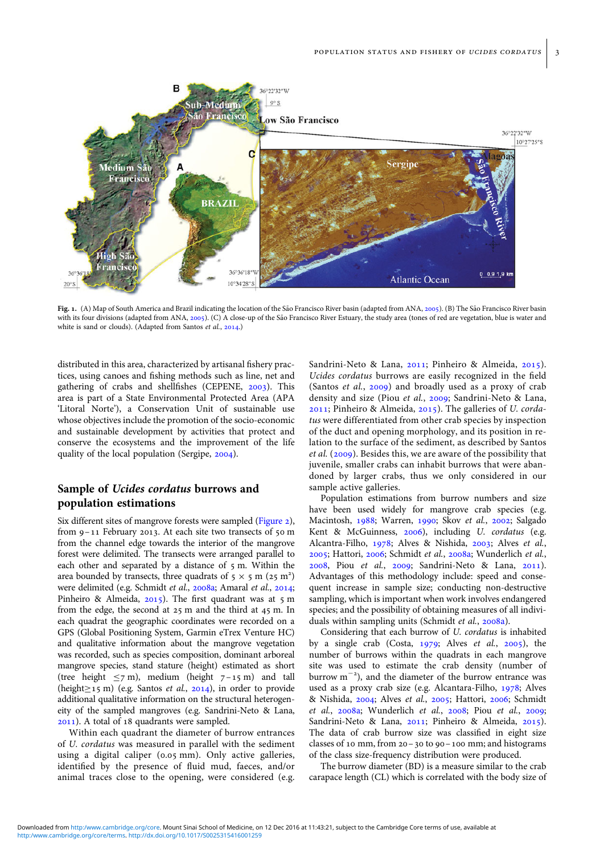<span id="page-2-0"></span>

Fig. 1. (A) Map of South America and Brazil indicating the location of the São Francisco River basin (adapted from ANA, [2005\)](#page-8-0). (B) The São Francisco River basin with its four divisions (adapted from ANA, [2005\)](#page-8-0). (C) A close-up of the São Francisco River Estuary, the study area (tones of red are vegetation, blue is water and white is sand or clouds). (Adapted from Santos et al., [2014](#page-10-0).)

distributed in this area, characterized by artisanal fishery practices, using canoes and fishing methods such as line, net and gathering of crabs and shellfishes (CEPENE, [2003\)](#page-9-0). This area is part of a State Environmental Protected Area (APA 'Litoral Norte'), a Conservation Unit of sustainable use whose objectives include the promotion of the socio-economic and sustainable development by activities that protect and conserve the ecosystems and the improvement of the life quality of the local population (Sergipe, [2004\)](#page-10-0).

## Sample of Ucides cordatus burrows and population estimations

Six different sites of mangrove forests were sampled ([Figure 2](#page-3-0)), from 9–11 February 2013. At each site two transects of 50 m from the channel edge towards the interior of the mangrove forest were delimited. The transects were arranged parallel to each other and separated by a distance of 5 m. Within the area bounded by transects, three quadrats of  $5 \times 5$  m (25 m<sup>2</sup>) were delimited (e.g. Schmidt et al., [2008a;](#page-10-0) Amaral et al., [2014](#page-8-0); Pinheiro & Almeida, [2015](#page-10-0)). The first quadrant was at 5 m from the edge, the second at 25 m and the third at 45 m. In each quadrat the geographic coordinates were recorded on a GPS (Global Positioning System, Garmin eTrex Venture HC) and qualitative information about the mangrove vegetation was recorded, such as species composition, dominant arboreal mangrove species, stand stature (height) estimated as short (tree height  $\leq$ 7 m), medium (height 7-15 m) and tall (height $\geq$ 15 m) (e.g. Santos *et al.*, [2014](#page-10-0)), in order to provide additional qualitative information on the structural heterogeneity of the sampled mangroves (e.g. Sandrini-Neto & Lana, [2011\)](#page-10-0). A total of 18 quadrants were sampled.

Within each quadrant the diameter of burrow entrances of U. cordatus was measured in parallel with the sediment using a digital caliper (0.05 mm). Only active galleries, identified by the presence of fluid mud, faeces, and/or animal traces close to the opening, were considered (e.g.

Sandrini-Neto & Lana, [2011;](#page-10-0) Pinheiro & Almeida, [2015](#page-10-0)). Ucides cordatus burrows are easily recognized in the field (Santos et al., [2009\)](#page-10-0) and broadly used as a proxy of crab density and size (Piou et al., [2009;](#page-10-0) Sandrini-Neto & Lana, [2011;](#page-10-0) Pinheiro & Almeida, [2015](#page-10-0)). The galleries of U. cordatus were differentiated from other crab species by inspection of the duct and opening morphology, and its position in relation to the surface of the sediment, as described by Santos et al. ([2009\)](#page-10-0). Besides this, we are aware of the possibility that juvenile, smaller crabs can inhabit burrows that were abandoned by larger crabs, thus we only considered in our sample active galleries.

Population estimations from burrow numbers and size have been used widely for mangrove crab species (e.g. Macintosh, [1988;](#page-9-0) Warren, [1990;](#page-10-0) Skov et al., [2002](#page-10-0); Salgado Kent & McGuinness, [2006](#page-10-0)), including U. cordatus (e.g. Alcantra-Filho, [1978](#page-8-0); Alves & Nishida, [2003;](#page-8-0) Alves et al., [2005;](#page-8-0) Hattori, [2006;](#page-9-0) Schmidt et al., [2008a](#page-10-0); Wunderlich et al., [2008,](#page-10-0) Piou et al., [2009;](#page-10-0) Sandrini-Neto & Lana, [2011](#page-10-0)). Advantages of this methodology include: speed and consequent increase in sample size; conducting non-destructive sampling, which is important when work involves endangered species; and the possibility of obtaining measures of all indivi-duals within sampling units (Schmidt et al., [2008a\)](#page-10-0).

Considering that each burrow of U. cordatus is inhabited by a single crab (Costa,  $1979$ ; Alves *et al.*, [2005](#page-8-0)), the number of burrows within the quadrats in each mangrove site was used to estimate the crab density (number of burrow  $m^{-2}$ ), and the diameter of the burrow entrance was used as a proxy crab size (e.g. Alcantara-Filho, [1978;](#page-8-0) Alves & Nishida, [2004](#page-8-0); Alves et al., [2005](#page-8-0); Hattori, [2006](#page-9-0); Schmidt et al., [2008a](#page-10-0); Wunderlich et al., [2008;](#page-10-0) Piou et al., [2009](#page-10-0); Sandrini-Neto & Lana, [2011](#page-10-0); Pinheiro & Almeida, [2015](#page-10-0)). The data of crab burrow size was classified in eight size classes of 10 mm, from 20–30 to 90–100 mm; and histograms of the class size-frequency distribution were produced.

The burrow diameter (BD) is a measure similar to the crab carapace length (CL) which is correlated with the body size of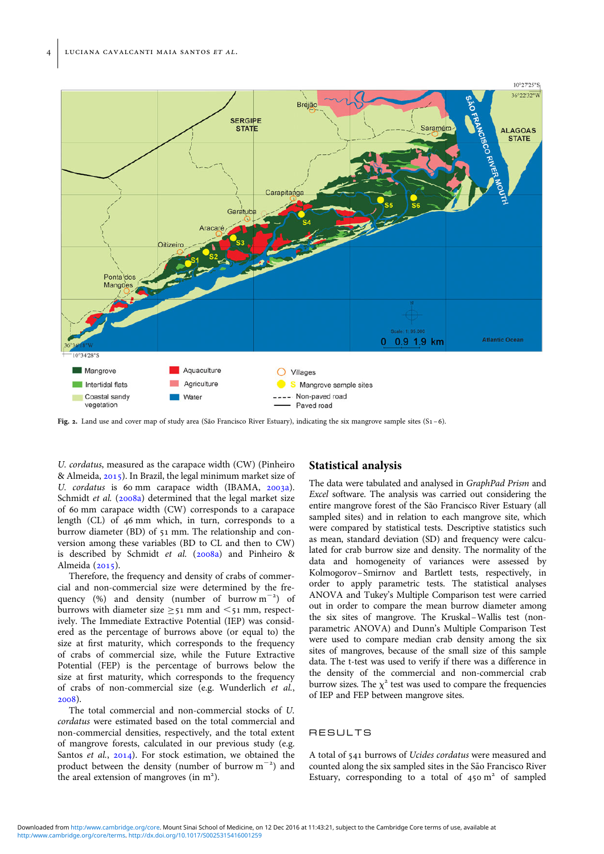<span id="page-3-0"></span>

Fig. 2. Land use and cover map of study area (São Francisco River Estuary), indicating the six mangrove sample sites  $(S_1 - 6)$ .

U. cordatus, measured as the carapace width (CW) (Pinheiro & Almeida, [2015](#page-10-0)). In Brazil, the legal minimum market size of U. cordatus is 60 mm carapace width (IBAMA, [2003a](#page-9-0)). Schmidt et al. ([2008a](#page-10-0)) determined that the legal market size of 60 mm carapace width (CW) corresponds to a carapace length (CL) of 46 mm which, in turn, corresponds to a burrow diameter (BD) of 51 mm. The relationship and conversion among these variables (BD to CL and then to CW) is described by Schmidt et al. ([2008a\)](#page-10-0) and Pinheiro & Almeida ([2015](#page-10-0)).

Therefore, the frequency and density of crabs of commercial and non-commercial size were determined by the frequency (%) and density (number of burrow  $m^{-2}$ ) of burrows with diameter size  $\geq$ 51 mm and  $\leq$ 51 mm, respectively. The Immediate Extractive Potential (IEP) was considered as the percentage of burrows above (or equal to) the size at first maturity, which corresponds to the frequency of crabs of commercial size, while the Future Extractive Potential (FEP) is the percentage of burrows below the size at first maturity, which corresponds to the frequency of crabs of non-commercial size (e.g. Wunderlich et al., [2008\)](#page-10-0).

The total commercial and non-commercial stocks of U. cordatus were estimated based on the total commercial and non-commercial densities, respectively, and the total extent of mangrove forests, calculated in our previous study (e.g. Santos et al., [2014](#page-10-0)). For stock estimation, we obtained the product between the density (number of burrow  $m^{-2}$ ) and the areal extension of mangroves (in  $m<sup>2</sup>$ ).

## Statistical analysis

The data were tabulated and analysed in GraphPad Prism and Excel software. The analysis was carried out considering the entire mangrove forest of the São Francisco River Estuary (all sampled sites) and in relation to each mangrove site, which were compared by statistical tests. Descriptive statistics such as mean, standard deviation (SD) and frequency were calculated for crab burrow size and density. The normality of the data and homogeneity of variances were assessed by Kolmogorov–Smirnov and Bartlett tests, respectively, in order to apply parametric tests. The statistical analyses ANOVA and Tukey's Multiple Comparison test were carried out in order to compare the mean burrow diameter among the six sites of mangrove. The Kruskal–Wallis test (nonparametric ANOVA) and Dunn's Multiple Comparison Test were used to compare median crab density among the six sites of mangroves, because of the small size of this sample data. The t-test was used to verify if there was a difference in the density of the commercial and non-commercial crab burrow sizes. The  $\chi^2$  test was used to compare the frequencies of IEP and FEP between mangrove sites.

#### RESULTS

A total of 541 burrows of Ucides cordatus were measured and counted along the six sampled sites in the São Francisco River Estuary, corresponding to a total of  $450 \text{ m}^2$  of sampled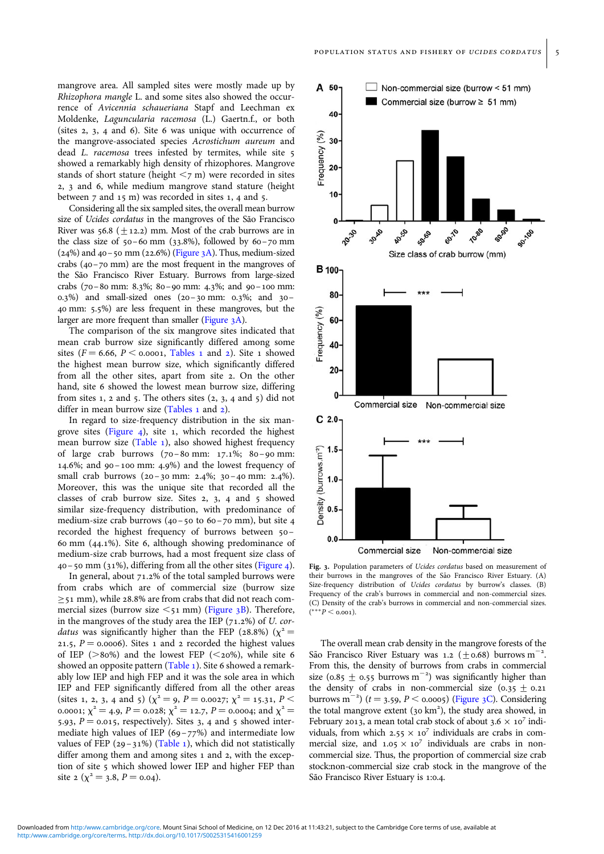<span id="page-4-0"></span>mangrove area. All sampled sites were mostly made up by Rhizophora mangle L. and some sites also showed the occurrence of Avicennia schaueriana Stapf and Leechman ex Moldenke, Laguncularia racemosa (L.) Gaertn.f., or both (sites 2, 3, 4 and 6). Site 6 was unique with occurrence of the mangrove-associated species Acrostichum aureum and dead L. racemosa trees infested by termites, while site 5 showed a remarkably high density of rhizophores. Mangrove stands of short stature (height  $\leq$ 7 m) were recorded in sites 2, 3 and 6, while medium mangrove stand stature (height between 7 and 15 m) was recorded in sites 1, 4 and 5.

Considering all the six sampled sites, the overall mean burrow size of Ucides cordatus in the mangroves of the São Francisco River was  $56.8$  (+12.2) mm. Most of the crab burrows are in the class size of  $50-60$  mm  $(33.8\%)$ , followed by  $60-70$  mm  $(24%)$  and  $40-50$  mm  $(22.6%)$  (Figure 3A). Thus, medium-sized crabs (40–70 mm) are the most frequent in the mangroves of the São Francisco River Estuary. Burrows from large-sized crabs (70–80 mm: 8.3%; 80–90 mm: 4.3%; and 90–100 mm: 0.3%) and small-sized ones (20–30 mm: 0.3%; and 30– 40 mm: 5.5%) are less frequent in these mangroves, but the larger are more frequent than smaller (Figure 3A).

The comparison of the six mangrove sites indicated that mean crab burrow size significantly differed among some sites ( $F = 6.66$ ,  $P \le 0.0001$ , [Tables 1](#page-5-0) and [2\)](#page-5-0). Site 1 showed the highest mean burrow size, which significantly differed from all the other sites, apart from site 2. On the other hand, site 6 showed the lowest mean burrow size, differing from sites 1, 2 and 5. The others sites  $(2, 3, 4, 4, 5)$  did not differ in mean burrow size [\(Tables 1](#page-5-0) and [2](#page-5-0)).

In regard to size-frequency distribution in the six mangrove sites ([Figure 4\)](#page-6-0), site 1, which recorded the highest mean burrow size [\(Table 1\)](#page-5-0), also showed highest frequency of large crab burrows (70–80 mm: 17.1%; 80–90 mm: 14.6%; and 90–100 mm: 4.9%) and the lowest frequency of small crab burrows (20-30 mm: 2.4%; 30-40 mm: 2.4%). Moreover, this was the unique site that recorded all the classes of crab burrow size. Sites 2, 3, 4 and 5 showed similar size-frequency distribution, with predominance of medium-size crab burrows  $(40 - 50 \text{ to } 60 - 70 \text{ mm})$ , but site 4 recorded the highest frequency of burrows between 50 – 60 mm (44.1%). Site 6, although showing predominance of medium-size crab burrows, had a most frequent size class of  $40 - 50$  mm (31%), differing from all the other sites [\(Figure 4](#page-6-0)).

In general, about 71.2% of the total sampled burrows were from crabs which are of commercial size (burrow size ≥51 mm), while 28.8% are from crabs that did not reach commercial sizes (burrow size  $\leq$ 51 mm) (Figure 3B). Therefore, in the mangroves of the study area the IEP  $(71.2%)$  of U. cor*datus* was significantly higher than the FEP (28.8%) ( $\chi^2$  = 21.5,  $P = 0.0006$ ). Sites 1 and 2 recorded the highest values of IEP ( $>80\%$ ) and the lowest FEP ( $\leq 20\%$ ), while site 6 showed an opposite pattern ([Table 1](#page-5-0)). Site 6 showed a remarkably low IEP and high FEP and it was the sole area in which IEP and FEP significantly differed from all the other areas (sites 1, 2, 3, 4 and 5) ( $\chi^2 = 9$ ,  $P = 0.0027$ ;  $\chi^2 = 15.31$ ,  $P <$ 0.0001;  $\chi^2 = 4.9$ ,  $P = 0.028$ ;  $\chi^2 = 12.7$ ,  $P = 0.0004$ ; and  $\chi^2 =$ 5.93,  $P = 0.015$ , respectively). Sites 3, 4 and 5 showed intermediate high values of IEP (69–77%) and intermediate low values of FEP (29-31%) ([Table 1](#page-5-0)), which did not statistically differ among them and among sites 1 and 2, with the exception of site 5 which showed lower IEP and higher FEP than site 2 ( $\chi^2$  = 3.8, P = 0.04).



Fig. 3. Population parameters of *Ucides cordatus* based on measurement of their burrows in the mangroves of the São Francisco River Estuary. (A) Size-frequency distribution of *Ucides cordatus* by burrow's classes. (B) Frequency of the crab's burrows in commercial and non-commercial sizes. (C) Density of the crab's burrows in commercial and non-commercial sizes.  $(***P < 0.001).$ 

The overall mean crab density in the mangrove forests of the São Francisco River Estuary was 1.2 (+0.68) burrows m<sup>-</sup> . From this, the density of burrows from crabs in commercial size (0.85  $\pm$  0.55 burrows m<sup>-2</sup>) was significantly higher than the density of crabs in non-commercial size  $(0.35 \pm 0.21)$ burrows m<sup>-2</sup>)  $(t = 3.59, P < 0.0005)$  (Figure 3C). Considering the total mangrove extent (30 km<sup>2</sup>), the study area showed, in February 2013, a mean total crab stock of about  $3.6 \times 10^7$  individuals, from which  $2.55 \times 10^7$  individuals are crabs in commercial size, and  $1.05 \times 10^7$  individuals are crabs in noncommercial size. Thus, the proportion of commercial size crab stock:non-commercial size crab stock in the mangrove of the São Francisco River Estuary is 1:0.4.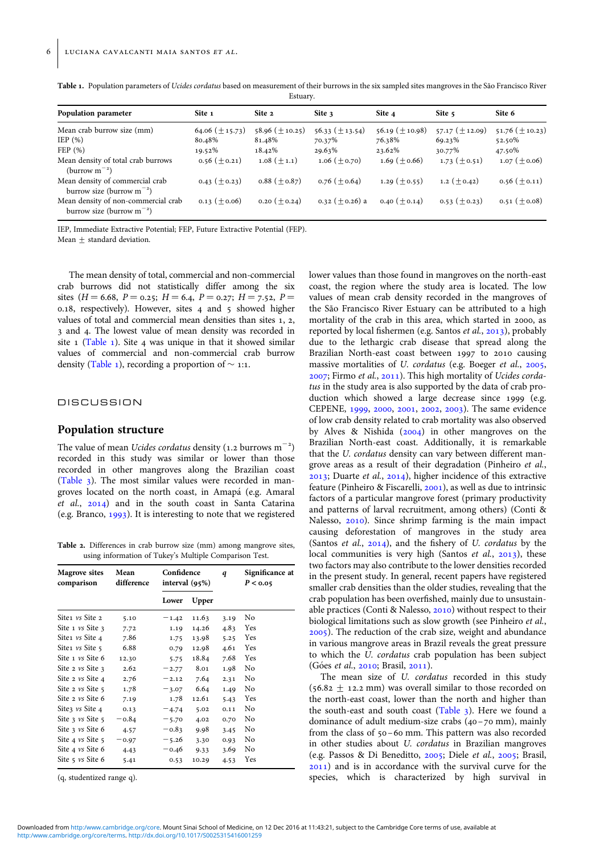| Estuary.                                                 |                     |                       |                       |                       |                     |                       |
|----------------------------------------------------------|---------------------|-----------------------|-----------------------|-----------------------|---------------------|-----------------------|
| Population parameter                                     | Site 1              | Site 2                | Site 3                | Site 4                | Site 5              | Site 6                |
| Mean crab burrow size (mm)                               | 64.06 $(\pm 15.73)$ | $58.96 \ (\pm 10.25)$ | $56.33 \ (\pm 13.54)$ | $56.19 \ (\pm 10.98)$ | 57.17 $(\pm 12.09)$ | $51.76 \ (\pm 10.23)$ |
| IEP $(\% )$                                              | 80.48%              | 81.48%                | 70.37%                | 76.38%                | 69.23%              | 52.50%                |
| FEP(%)                                                   | 19.52%              | 18.42%                | 29.63%                | 23.62%                | 30.77%              | 47.50%                |
| Mean density of total crab burrows<br>(burrow $m^{-2}$ ) | $0.56 \ (\pm 0.21)$ | $1.08 (+1.1)$         | $1.06 \ (\pm 0.70)$   | 1.69 $(\pm 0.66)$     | $1.73 \ (\pm 0.51)$ | $1.07 \ (\pm 0.06)$   |
| Mean density of commercial crab                          | 0.43 $(\pm$ 0.23)   | $0.88~(\pm 0.87)$     | $0.76 (+0.64)$        | 1.29 $(\pm 0.55)$     | 1.2 $(\pm 0.42)$    | $0.56 \ (\pm 0.11)$   |

0.13  $(\pm 0.06)$  0.20  $(\pm 0.24)$  0.32  $(\pm 0.26)$  a 0.40  $(\pm 0.14)$  0.53  $(\pm 0.23)$  0.51  $(\pm 0.08)$ 

<span id="page-5-0"></span>Table 1. Population parameters of Ucides cordatus based on measurement of their burrows in the six sampled sites mangroves in the São Francisco River Estuary.

IEP, Immediate Extractive Potential; FEP, Future Extractive Potential (FEP).

Mean  $\pm$  standard deviation.

burrow size (burrow  $m^{-2}$ )

Mean density of non-commercial crab burrow size (burrow  $m^{-2}$ )

The mean density of total, commercial and non-commercial crab burrows did not statistically differ among the six sites ( $H = 6.68$ ,  $P = 0.25$ ;  $H = 6.4$ ,  $P = 0.27$ ;  $H = 7.52$ ,  $P =$ 0.18, respectively). However, sites 4 and 5 showed higher values of total and commercial mean densities than sites 1, 2, 3 and 4. The lowest value of mean density was recorded in site 1 (Table 1). Site 4 was unique in that it showed similar values of commercial and non-commercial crab burrow density (Table 1), recording a proportion of  $\sim$  1:1.

#### **DISCUSSION**

## Population structure

The value of mean *Ucides cordatus* density (1.2 burrows  $m^{-2}$ ) recorded in this study was similar or lower than those recorded in other mangroves along the Brazilian coast ([Table 3\)](#page-6-0). The most similar values were recorded in mangroves located on the north coast, in Amapa´ (e.g. Amaral et al., [2014\)](#page-8-0) and in the south coast in Santa Catarina (e.g. Branco, [1993](#page-8-0)). It is interesting to note that we registered

Table 2. Differences in crab burrow size (mm) among mangrove sites, using information of Tukey's Multiple Comparison Test.

| <b>Magrove sites</b><br>comparison  | Mean<br>difference | Confidence<br>interval $(95%)$ |       | q    | Significance at<br>P < 0.05 |
|-------------------------------------|--------------------|--------------------------------|-------|------|-----------------------------|
|                                     |                    | Lower                          | Upper |      |                             |
| Site1 vs Site 2                     | 5.10               | $-1.42$                        | 11.63 | 3.19 | No                          |
| Site $1 \text{ vs } \text{Site } 3$ | 7.72               | 1.19                           | 14.26 | 4.83 | Yes                         |
| Site1 vs Site 4                     | 7.86               | 1.75                           | 13.98 | 5.25 | Yes                         |
| Site1 vs Site 5                     | 6.88               | 0.79                           | 12.98 | 4.61 | Yes                         |
| Site 1 vs Site 6                    | 12.30              | 5.75                           | 18.84 | 7.68 | Yes                         |
| Site 2 $\nu s$ Site 3               | 2.62               | $-2.77$                        | 8.01  | 1.98 | No                          |
| Site 2 vs Site 4                    | 2.76               | $-2.12$                        | 7.64  | 2.31 | No                          |
| Site $2 \nu s$ Site $5$             | 1.78               | $-3.07$                        | 6.64  | 1.49 | No                          |
| Site 2 vs Site 6                    | 7.19               | 1.78                           | 12.61 | 5.43 | Yes                         |
| Site3 vs Site 4                     | 0.13               | $-4.74$                        | 5.02  | 0.11 | No                          |
| Site 3 $\nu s$ Site 5               | $-0.84$            | $-5.70$                        | 4.02  | 0.70 | No                          |
| Site $\frac{1}{2}$ vs Site 6        | 4.57               | $-0.83$                        | 9.98  | 3.45 | No                          |
| Site 4 vs Site 5                    | $-0.97$            | $-5.26$                        | 3.30  | 0.93 | No                          |
| Site 4 vs Site 6                    | 4.43               | $-0.46$                        | 9.33  | 3.69 | No                          |
| Site $5$ vs Site $6$                | 5.41               | 0.53                           | 10.29 | 4.53 | Yes                         |

(q, studentized range q).

lower values than those found in mangroves on the north-east coast, the region where the study area is located. The low values of mean crab density recorded in the mangroves of the São Francisco River Estuary can be attributed to a high mortality of the crab in this area, which started in 2000, as reported by local fishermen (e.g. Santos et al., [2013](#page-10-0)), probably due to the lethargic crab disease that spread along the Brazilian North-east coast between 1997 to 2010 causing massive mortalities of U. cordatus (e.g. Boeger et al., [2005](#page-8-0), [2007;](#page-8-0) Firmo et al., [2011](#page-9-0)). This high mortality of Ucides cordatus in the study area is also supported by the data of crab production which showed a large decrease since 1999 (e.g. CEPENE, [1999,](#page-9-0) [2000](#page-9-0), [2001,](#page-9-0) [2002](#page-9-0), [2003\)](#page-9-0). The same evidence of low crab density related to crab mortality was also observed by Alves & Nishida [\(2004\)](#page-8-0) in other mangroves on the Brazilian North-east coast. Additionally, it is remarkable that the U. cordatus density can vary between different mangrove areas as a result of their degradation (Pinheiro et al., [2013;](#page-10-0) Duarte et al., [2014\)](#page-9-0), higher incidence of this extractive feature (Pinheiro & Fiscarelli, [2001](#page-10-0)), as well as due to intrinsic factors of a particular mangrove forest (primary productivity and patterns of larval recruitment, among others) (Conti & Nalesso, [2010](#page-9-0)). Since shrimp farming is the main impact causing deforestation of mangroves in the study area (Santos *et al.*,  $2014$ ), and the fishery of U. *cordatus* by the local communities is very high (Santos et al., [2013\)](#page-10-0), these two factors may also contribute to the lower densities recorded in the present study. In general, recent papers have registered smaller crab densities than the older studies, revealing that the crab population has been overfished, mainly due to unsustainable practices (Conti & Nalesso, [2010](#page-9-0)) without respect to their biological limitations such as slow growth (see Pinheiro et al., [2005\)](#page-10-0). The reduction of the crab size, weight and abundance in various mangrove areas in Brazil reveals the great pressure to which the U. cordatus crab population has been subject (Góes et al., [2010;](#page-9-0) Brasil, [2011](#page-8-0)).

The mean size of U. cordatus recorded in this study  $(56.82 \pm 12.2 \text{ mm})$  was overall similar to those recorded on the north-east coast, lower than the north and higher than the south-east and south coast ([Table 3](#page-6-0)). Here we found a dominance of adult medium-size crabs (40–70 mm), mainly from the class of 50 –60 mm. This pattern was also recorded in other studies about U. cordatus in Brazilian mangroves (e.g. Passos & Di Beneditto, [2005;](#page-9-0) Diele et al., [2005](#page-9-0); Brasil, [2011\)](#page-8-0) and is in accordance with the survival curve for the species, which is characterized by high survival in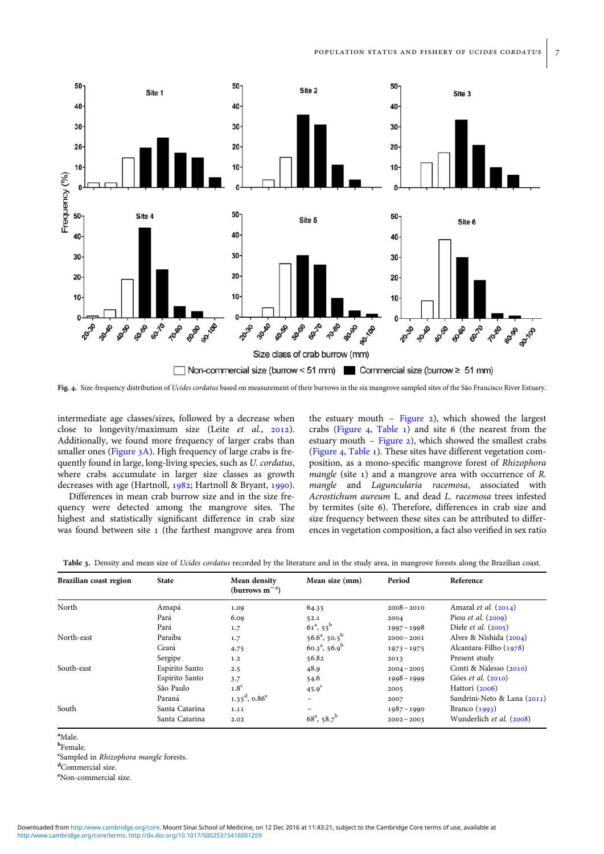<span id="page-6-0"></span>

Fig. 4. Size-frequency distribution of Ucides cordatus based on measurement of their burrows in the six mangrove sampled sites of the São Francisco River Estuary.

intermediate age classes/sizes, followed by a decrease when close to longevity/maximum size (Leite et al., [2012](#page-9-0)). Additionally, we found more frequency of larger crabs than smaller ones ([Figure 3A](#page-4-0)). High frequency of large crabs is frequently found in large, long-living species, such as U. cordatus, where crabs accumulate in larger size classes as growth decreases with age (Hartnoll, [1982;](#page-9-0) Hartnoll & Bryant, [1990](#page-9-0)).

Differences in mean crab burrow size and in the size frequency were detected among the mangrove sites. The highest and statistically significant difference in crab size was found between site 1 (the farthest mangrove area from

the estuary mouth – [Figure 2](#page-3-0)), which showed the largest crabs (Figure 4, [Table 1](#page-5-0)) and site 6 (the nearest from the estuary mouth – Figure  $2$ ), which showed the smallest crabs (Figure 4, [Table 1\)](#page-5-0). These sites have different vegetation composition, as a mono-specific mangrove forest of Rhizophora mangle (site 1) and a mangrove area with occurrence of R. mangle and Laguncularia racemosa, associated with Acrostichum aureum L. and dead L. racemosa trees infested by termites (site 6). Therefore, differences in crab size and size frequency between these sites can be attributed to differences in vegetation composition, a fact also verified in sex ratio

| Brazilian coast region | <b>State</b>   | Mean density<br>(burrows $m^{-2}$ ) | Mean size (mm)                   | Period        | Reference                     |
|------------------------|----------------|-------------------------------------|----------------------------------|---------------|-------------------------------|
| North                  | Amapá          | 1.09                                | 64.35                            | $2008 - 2010$ | Amaral <i>et al.</i> $(2014)$ |
|                        | Pará           | 6.09                                | 52.1                             | 2004          | Piou <i>et al.</i> $(2009)$   |
|                        | Pará           | 1.7                                 | $61^a, 55^b$                     | $1997 - 1998$ | Diele <i>et al.</i> $(2005)$  |
| North-east             | Paraíba        | 1.7                                 | $56.6^a$ , $50.5^b$              | $2000 - 2001$ | Alves & Nishida (2004)        |
|                        | Ceará          | 4.75                                | $60.3^a$ , 56.9 <sup>b</sup>     | $1973 - 1975$ | Alcantara-Filho (1978)        |
|                        | Sergipe        | 1.2                                 | 56.82                            | 2013          | Present study                 |
| South-east             | Espírito Santo | 2.5                                 | 48.9                             | $2004 - 2005$ | Conti & Nalesso (2010)        |
|                        | Espírito Santo | 3.7                                 | 54.6                             | $1998 - 1999$ | Góes et al. (2010)            |
|                        | São Paulo      | 1.8 <sup>c</sup>                    | $45.9^\circ$                     | 2005          | Hattori (2006)                |
|                        | Paraná         | $1.35^{\rm d}$ , 0.86 <sup>e</sup>  |                                  | 2007          | Sandrini-Neto & Lana (2011)   |
| South                  | Santa Catarina | 1.11                                |                                  | $1987 - 1990$ | Branco $(1993)$               |
|                        | Santa Catarina | 2.02                                | $68^{\rm a}$ , 58.7 <sup>b</sup> | $2002 - 2003$ | Wunderlich et al. (2008)      |

| <b>Table 3.</b> Density and mean size of <i>Ucides cordatus</i> recorded by the literature and in the study area, in mangrove forests along the Brazilian coast. |  |  |  |
|------------------------------------------------------------------------------------------------------------------------------------------------------------------|--|--|--|
|------------------------------------------------------------------------------------------------------------------------------------------------------------------|--|--|--|

a Male.

<sup>b</sup>Female.

<sup>e</sup>Sampled in *Rhizophora mangle* forests.

<sup>d</sup>Commercial size.

e Non-commercial size.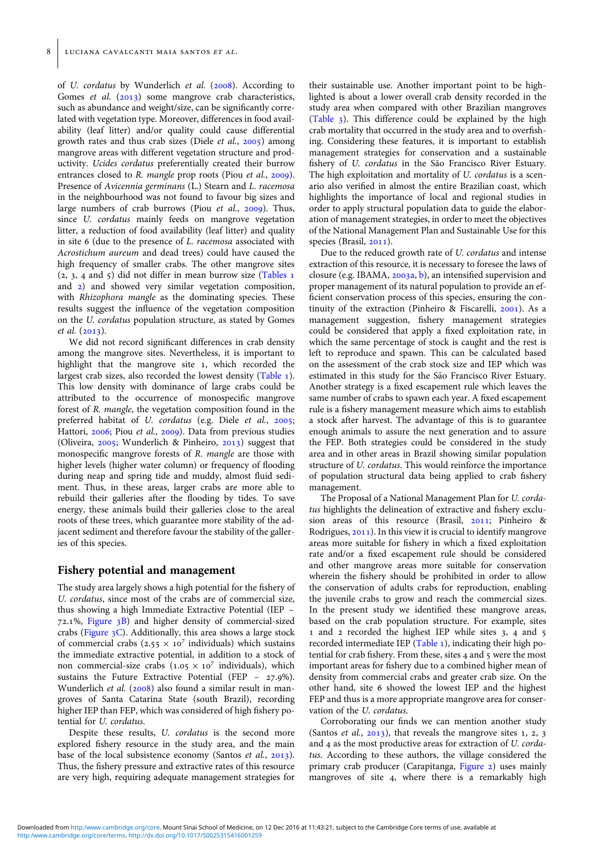of U. cordatus by Wunderlich et al. ([2008\)](#page-10-0). According to Gomes et al. ([2013](#page-9-0)) some mangrove crab characteristics, such as abundance and weight/size, can be significantly correlated with vegetation type. Moreover, differences in food availability (leaf litter) and/or quality could cause differential growth rates and thus crab sizes (Diele et al., [2005](#page-9-0)) among mangrove areas with different vegetation structure and productivity. Ucides cordatus preferentially created their burrow entrances closed to R. mangle prop roots (Piou et al., [2009](#page-10-0)). Presence of Avicennia germinans (L.) Stearn and L. racemosa in the neighbourhood was not found to favour big sizes and large numbers of crab burrows (Piou et al., [2009\)](#page-10-0). Thus, since U. cordatus mainly feeds on mangrove vegetation litter, a reduction of food availability (leaf litter) and quality in site 6 (due to the presence of L. racemosa associated with Acrostichum aureum and dead trees) could have caused the high frequency of smaller crabs. The other mangrove sites  $(2, 3, 4, 4)$  and 5) did not differ in mean burrow size [\(Tables 1](#page-5-0)) and [2\)](#page-5-0) and showed very similar vegetation composition, with Rhizophora mangle as the dominating species. These results suggest the influence of the vegetation composition on the U. cordatus population structure, as stated by Gomes et al. [\(2013\)](#page-9-0).

We did not record significant differences in crab density among the mangrove sites. Nevertheless, it is important to highlight that the mangrove site 1, which recorded the largest crab sizes, also recorded the lowest density [\(Table 1](#page-5-0)). This low density with dominance of large crabs could be attributed to the occurrence of monospecific mangrove forest of R. mangle, the vegetation composition found in the preferred habitat of U. cordatus (e.g. Diele et al., [2005](#page-9-0); Hattori, [2006](#page-9-0); Piou et al., [2009\)](#page-10-0). Data from previous studies (Oliveira, [2005](#page-9-0); Wunderlich & Pinheiro, [2013](#page-10-0)) suggest that monospecific mangrove forests of R. mangle are those with higher levels (higher water column) or frequency of flooding during neap and spring tide and muddy, almost fluid sediment. Thus, in these areas, larger crabs are more able to rebuild their galleries after the flooding by tides. To save energy, these animals build their galleries close to the areal roots of these trees, which guarantee more stability of the adjacent sediment and therefore favour the stability of the galleries of this species.

### Fishery potential and management

The study area largely shows a high potential for the fishery of U. cordatus, since most of the crabs are of commercial size, thus showing a high Immediate Extractive Potential (IEP – 72.1%, [Figure 3B\)](#page-4-0) and higher density of commercial-sized crabs ([Figure 3C\)](#page-4-0). Additionally, this area shows a large stock of commercial crabs (2.55  $\times$  10<sup>7</sup> individuals) which sustains the immediate extractive potential, in addition to a stock of non commercial-size crabs  $(1.05 \times 10^7 \text{ individuals})$ , which sustains the Future Extractive Potential (FEP – 27.9%). Wunderlich et al. ([2008\)](#page-10-0) also found a similar result in mangroves of Santa Catarina State (south Brazil), recording higher IEP than FEP, which was considered of high fishery potential for U. cordatus.

Despite these results, U. cordatus is the second more explored fishery resource in the study area, and the main base of the local subsistence economy (Santos et al., [2013](#page-10-0)). Thus, the fishery pressure and extractive rates of this resource are very high, requiring adequate management strategies for

their sustainable use. Another important point to be highlighted is about a lower overall crab density recorded in the study area when compared with other Brazilian mangroves ([Table 3](#page-6-0)). This difference could be explained by the high crab mortality that occurred in the study area and to overfishing. Considering these features, it is important to establish management strategies for conservation and a sustainable fishery of U. cordatus in the São Francisco River Estuary. The high exploitation and mortality of U. cordatus is a scenario also verified in almost the entire Brazilian coast, which highlights the importance of local and regional studies in order to apply structural population data to guide the elaboration of management strategies, in order to meet the objectives of the National Management Plan and Sustainable Use for this species (Brasil, [2011\)](#page-8-0).

Due to the reduced growth rate of U. cordatus and intense extraction of this resource, it is necessary to foresee the laws of closure (e.g. IBAMA, [2003a,](#page-9-0) [b\)](#page-9-0), an intensified supervision and proper management of its natural population to provide an efficient conservation process of this species, ensuring the continuity of the extraction (Pinheiro & Fiscarelli, [2001](#page-10-0)). As a management suggestion, fishery management strategies could be considered that apply a fixed exploitation rate, in which the same percentage of stock is caught and the rest is left to reproduce and spawn. This can be calculated based on the assessment of the crab stock size and IEP which was estimated in this study for the São Francisco River Estuary. Another strategy is a fixed escapement rule which leaves the same number of crabs to spawn each year. A fixed escapement rule is a fishery management measure which aims to establish a stock after harvest. The advantage of this is to guarantee enough animals to assure the next generation and to assure the FEP. Both strategies could be considered in the study area and in other areas in Brazil showing similar population structure of U. cordatus. This would reinforce the importance of population structural data being applied to crab fishery management.

The Proposal of a National Management Plan for U. cordatus highlights the delineation of extractive and fishery exclusion areas of this resource (Brasil, [2011](#page-8-0); Pinheiro & Rodrigues, [2011](#page-10-0)). In this view it is crucial to identify mangrove areas more suitable for fishery in which a fixed exploitation rate and/or a fixed escapement rule should be considered and other mangrove areas more suitable for conservation wherein the fishery should be prohibited in order to allow the conservation of adults crabs for reproduction, enabling the juvenile crabs to grow and reach the commercial sizes. In the present study we identified these mangrove areas, based on the crab population structure. For example, sites 1 and 2 recorded the highest IEP while sites 3, 4 and 5 recorded intermediate IEP [\(Table 1](#page-5-0)), indicating their high potential for crab fishery. From these, sites 4 and 5 were the most important areas for fishery due to a combined higher mean of density from commercial crabs and greater crab size. On the other hand, site 6 showed the lowest IEP and the highest FEP and thus is a more appropriate mangrove area for conservation of the U. cordatus.

Corroborating our finds we can mention another study (Santos *et al.*,  $2013$ ), that reveals the mangrove sites 1, 2, 3 and 4 as the most productive areas for extraction of U. cordatus. According to these authors, the village considered the primary crab producer (Carapitanga, [Figure 2\)](#page-3-0) uses mainly mangroves of site 4, where there is a remarkably high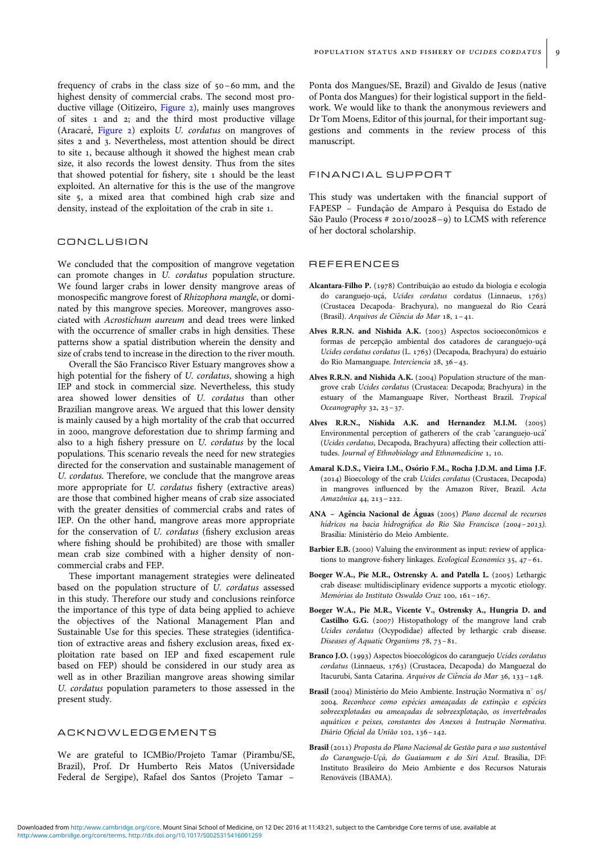<span id="page-8-0"></span>frequency of crabs in the class size of 50 –60 mm, and the highest density of commercial crabs. The second most productive village (Oitizeiro, [Figure 2\)](#page-3-0), mainly uses mangroves of sites 1 and 2; and the third most productive village (Aracaré, [Figure 2\)](#page-3-0) exploits U. cordatus on mangroves of sites 2 and 3. Nevertheless, most attention should be direct to site 1, because although it showed the highest mean crab size, it also records the lowest density. Thus from the sites that showed potential for fishery, site 1 should be the least exploited. An alternative for this is the use of the mangrove site 5, a mixed area that combined high crab size and density, instead of the exploitation of the crab in site 1.

#### CONCLUSION

We concluded that the composition of mangrove vegetation can promote changes in U. cordatus population structure. We found larger crabs in lower density mangrove areas of monospecific mangrove forest of Rhizophora mangle, or dominated by this mangrove species. Moreover, mangroves associated with Acrostichum aureum and dead trees were linked with the occurrence of smaller crabs in high densities. These patterns show a spatial distribution wherein the density and size of crabs tend to increase in the direction to the river mouth.

Overall the São Francisco River Estuary mangroves show a high potential for the fishery of U. cordatus, showing a high IEP and stock in commercial size. Nevertheless, this study area showed lower densities of U. cordatus than other Brazilian mangrove areas. We argued that this lower density is mainly caused by a high mortality of the crab that occurred in 2000, mangrove deforestation due to shrimp farming and also to a high fishery pressure on U. cordatus by the local populations. This scenario reveals the need for new strategies directed for the conservation and sustainable management of U. cordatus. Therefore, we conclude that the mangrove areas more appropriate for U. cordatus fishery (extractive areas) are those that combined higher means of crab size associated with the greater densities of commercial crabs and rates of IEP. On the other hand, mangrove areas more appropriate for the conservation of U. cordatus (fishery exclusion areas where fishing should be prohibited) are those with smaller mean crab size combined with a higher density of noncommercial crabs and FEP.

These important management strategies were delineated based on the population structure of U. cordatus assessed in this study. Therefore our study and conclusions reinforce the importance of this type of data being applied to achieve the objectives of the National Management Plan and Sustainable Use for this species. These strategies (identification of extractive areas and fishery exclusion areas, fixed exploitation rate based on IEP and fixed escapement rule based on FEP) should be considered in our study area as well as in other Brazilian mangrove areas showing similar U. cordatus population parameters to those assessed in the present study.

#### ACKNOWLEDGEMENTS

We are grateful to ICMBio/Projeto Tamar (Pirambu/SE, Brazil), Prof. Dr Humberto Reis Matos (Universidade Federal de Sergipe), Rafael dos Santos (Projeto Tamar –

Ponta dos Mangues/SE, Brazil) and Givaldo de Jesus (native of Ponta dos Mangues) for their logistical support in the fieldwork. We would like to thank the anonymous reviewers and Dr Tom Moens, Editor of this journal, for their important suggestions and comments in the review process of this manuscript.

## FINANCIAL SUPPORT

This study was undertaken with the financial support of FAPESP – Fundação de Amparo à Pesquisa do Estado de São Paulo (Process # 2010/20028-9) to LCMS with reference of her doctoral scholarship.

#### REFERENCES

- Alcantara-Filho P. (1978) Contribuição ao estudo da biologia e ecologia do caranguejo-uçá, Ucides cordatus cordatus (Linnaeus, 1763) (Crustacea Decapoda- Brachyura), no manguezal do Rio Ceara´ (Brasil). Arquivos de Ciência do Mar 18, 1-41.
- Alves R.R.N. and Nishida A.K. (2003) Aspectos socioeconômicos e formas de percepção ambiental dos catadores de caranguejo-uçá Ucides cordatus cordatus (L. 1763) (Decapoda, Brachyura) do estuário do Rio Mamanguape. Interciencia 28, 36–43.
- Alves R.R.N. and Nishida A.K. (2004) Population structure of the mangrove crab Ucides cordatus (Crustacea: Decapoda; Brachyura) in the estuary of the Mamanguape River, Northeast Brazil. Tropical Oceanography 32, 23–37.
- Alves R.R.N., Nishida A.K. and Hernandez M.I.M. (2005) Environmental perception of gatherers of the crab 'caranguejo-uca´' (Ucides cordatus, Decapoda, Brachyura) affecting their collection attitudes. Journal of Ethnobiology and Ethnomedicine 1, 10.
- Amaral K.D.S., Vieira I.M., Osório F.M., Rocha J.D.M. and Lima J.F. (2014) Bioecology of the crab Ucides cordatus (Crustacea, Decapoda) in mangroves influenced by the Amazon River, Brazil. Acta Amazônica 44, 213-222.
- ANA Agência Nacional de Águas (2005) Plano decenal de recursos hídricos na bacia hidrográfica do Rio São Francisco (2004-2013). Brasília: Ministério do Meio Ambiente.
- Barbier E.B. (2000) Valuing the environment as input: review of applications to mangrove-fishery linkages. Ecological Economics 35, 47–61.
- Boeger W.A., Pie M.R., Ostrensky A. and Patella L. (2005) Lethargic crab disease: multidisciplinary evidence supports a mycotic etiology. Memórias do Instituto Oswaldo Cruz 100, 161-167.
- Boeger W.A., Pie M.R., Vicente V., Ostrensky A., Hungria D. and Castilho G.G. (2007) Histopathology of the mangrove land crab Ucides cordatus (Ocypodidae) affected by lethargic crab disease. Diseases of Aquatic Organisms 78, 73–81.
- Branco J.O. (1993) Aspectos bioecológicos do caranguejo Ucides cordatus cordatus (Linnaeus, 1763) (Crustacea, Decapoda) do Manguezal do Itacurubi, Santa Catarina. Arquivos de Ciência do Mar 36, 133-148.
- Brasil (2004) Ministério do Meio Ambiente. Instrução Normativa nº 05/ 2004. Reconhece como espécies ameaçadas de extinção e espécies sobreexplotadas ou ameaçadas de sobreexplotação, os invertebrados aquáticos e peixes, constantes dos Anexos à Instrução Normativa. Diário Oficial da União 102, 136-142.
- Brasil (2011) Proposta do Plano Nacional de Gestão para o uso sustentável do Caranguejo-Uçá, do Guaiamum e do Siri Azul. Brasília, DF: Instituto Brasileiro do Meio Ambiente e dos Recursos Naturais Renováveis (IBAMA).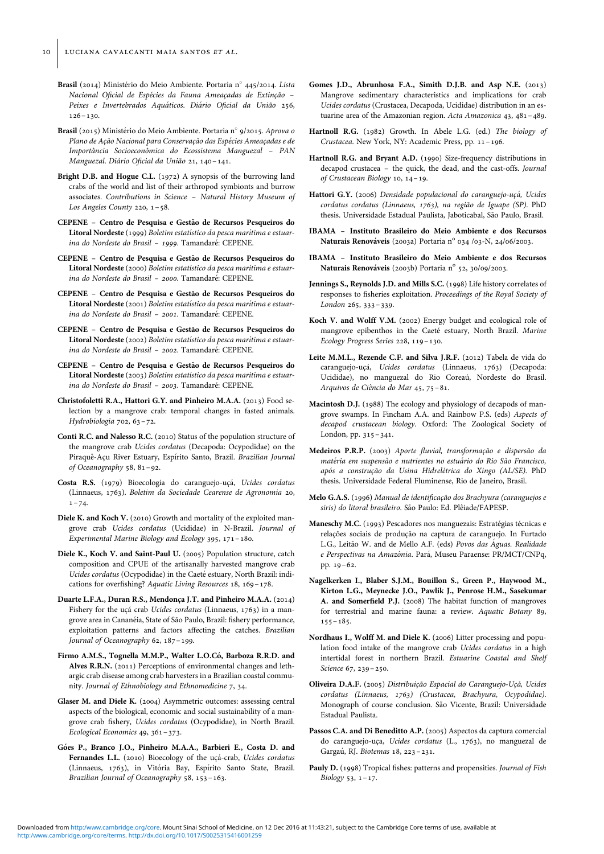- <span id="page-9-0"></span>Brasil (2014) Ministério do Meio Ambiente. Portaria nº 445/2014. Lista Nacional Oficial de Espécies da Fauna Ameaçadas de Extinção -Peixes e Invertebrados Aquáticos. Diário Oficial da União 256,  $126 - 130.$
- Brasil (2015) Ministério do Meio Ambiente. Portaria nº 9/2015. Aprova o Plano de Ação Nacional para Conservação das Espécies Ameaçadas e de Importância Socioeconômica do Ecossistema Manguezal - PAN Manguezal. Diário Oficial da União 21, 140-141.
- Bright D.B. and Hogue C.L. (1972) A synopsis of the burrowing land crabs of the world and list of their arthropod symbionts and burrow associates. Contributions in Science – Natural History Museum of Los Angeles County 220, 1–58.
- CEPENE Centro de Pesquisa e Gesta˜o de Recursos Pesqueiros do Litoral Nordeste (1999) Boletim estatístico da pesca marítima e estuarina do Nordeste do Brasil - 1999. Tamandaré: CEPENE.
- CEPENE Centro de Pesquisa e Gestão de Recursos Pesqueiros do Litoral Nordeste (2000) Boletim estatístico da pesca marítima e estuarina do Nordeste do Brasil - 2000. Tamandaré: CEPENE.
- CEPENE Centro de Pesquisa e Gestão de Recursos Pesqueiros do Litoral Nordeste (2001) Boletim estatístico da pesca marítima e estuarina do Nordeste do Brasil - 2001. Tamandaré: CEPENE.
- CEPENE Centro de Pesquisa e Gestão de Recursos Pesqueiros do Litoral Nordeste (2002) Boletim estatístico da pesca marítima e estuarina do Nordeste do Brasil - 2002. Tamandaré: CEPENE.
- CEPENE Centro de Pesquisa e Gestão de Recursos Pesqueiros do Litoral Nordeste (2003) Boletim estatístico da pesca marítima e estuarina do Nordeste do Brasil - 2003. Tamandaré: CEPENE.
- Christofoletti R.A., Hattori G.Y. and Pinheiro M.A.A. (2013) Food selection by a mangrove crab: temporal changes in fasted animals. Hydrobiologia 702, 63–72.
- Conti R.C. and Nalesso R.C. (2010) Status of the population structure of the mangrove crab Ucides cordatus (Decapoda: Ocypodidae) on the Piraquê-Açu River Estuary, Espírito Santo, Brazil. Brazilian Journal of Oceanography 58, 81–92.
- Costa R.S. (1979) Bioecologia do caranguejo-uçá, Ucides cordatus (Linnaeus, 1763). Boletim da Sociedade Cearense de Agronomia 20,  $1 - 74.$
- Diele K. and Koch V. (2010) Growth and mortality of the exploited mangrove crab Ucides cordatus (Ucididae) in N-Brazil. Journal of Experimental Marine Biology and Ecology 395, 171–180.
- Diele K., Koch V. and Saint-Paul U. (2005) Population structure, catch composition and CPUE of the artisanally harvested mangrove crab Ucides cordatus (Ocypodidae) in the Caeté estuary, North Brazil: indications for overfishing? Aquatic Living Resources 18, 169–178.
- Duarte L.F.A., Duran R.S., Mendonça J.T. and Pinheiro M.A.A. (2014) Fishery for the ucá crab Ucides cordatus (Linnaeus, 1763) in a mangrove area in Cananéia, State of São Paulo, Brazil: fishery performance, exploitation patterns and factors affecting the catches. Brazilian Journal of Oceanography 62, 187–199.
- Firmo A.M.S., Tognella M.M.P., Walter L.O.Có, Barboza R.R.D. and Alves R.R.N. (2011) Perceptions of environmental changes and lethargic crab disease among crab harvesters in a Brazilian coastal community. Journal of Ethnobiology and Ethnomedicine 7, 34.
- Glaser M. and Diele K. (2004) Asymmetric outcomes: assessing central aspects of the biological, economic and social sustainability of a mangrove crab fishery, Ucides cordatus (Ocypodidae), in North Brazil. Ecological Economics 49, 361–373.
- Góes P., Branco J.O., Pinheiro M.A.A., Barbieri E., Costa D. and Fernandes L.L. (2010) Bioecology of the uçá-crab, Ucides cordatus (Linnaeus, 1763), in Vitória Bay, Espírito Santo State, Brazil. Brazilian Journal of Oceanography 58, 153–163.
- Gomes J.D., Abrunhosa F.A., Simith D.J.B. and Asp N.E. (2013) Mangrove sedimentary characteristics and implications for crab Ucides cordatus (Crustacea, Decapoda, Ucididae) distribution in an estuarine area of the Amazonian region. Acta Amazonica 43, 481–489.
- Hartnoll R.G. (1982) Growth. In Abele L.G. (ed.) The biology of Crustacea. New York, NY: Academic Press, pp. 11–196.
- Hartnoll R.G. and Bryant A.D. (1990) Size-frequency distributions in decapod crustacea – the quick, the dead, and the cast-offs. Journal of Crustacean Biology 10, 14–19.
- Hattori G.Y. (2006) Densidade populacional do caranguejo-uçá, Ucides cordatus cordatus (Linnaeus, 1763), na região de Iguape (SP). PhD thesis. Universidade Estadual Paulista, Jaboticabal, São Paulo, Brasil.
- IBAMA Instituto Brasileiro do Meio Ambiente e dos Recursos Naturais Renováveis (2003a) Portaria nº 034 /03-N, 24/06/2003.
- IBAMA Instituto Brasileiro do Meio Ambiente e dos Recursos Naturais Renováveis (2003b) Portaria nº 52, 30/09/2003.
- Jennings S., Reynolds J.D. and Mills S.C. (1998) Life history correlates of responses to fisheries exploitation. Proceedings of the Royal Society of London 265, 333–339.
- Koch V. and Wolff V.M. (2002) Energy budget and ecological role of mangrove epibenthos in the Caeté estuary, North Brazil. Marine Ecology Progress Series 228, 119–130.
- Leite M.M.L., Rezende C.F. and Silva J.R.F. (2012) Tabela de vida do caranguejo-uçá, Ucides cordatus (Linnaeus, 1763) (Decapoda: Ucididae), no manguezal do Rio Coreaú, Nordeste do Brasil. Arquivos de Ciência do Mar 45, 75-81.
- Macintosh D.J. (1988) The ecology and physiology of decapods of mangrove swamps. In Fincham A.A. and Rainbow P.S. (eds) Aspects of decapod crustacean biology. Oxford: The Zoological Society of London, pp. 315–341.
- Medeiros P.R.P. (2003) Aporte fluvial, transformação e dispersão da matéria em suspensão e nutrientes no estuário do Rio São Francisco, após a construção da Usina Hidrelétrica do Xingo (AL/SE). PhD thesis. Universidade Federal Fluminense, Rio de Janeiro, Brasil.
- Melo G.A.S. (1996) Manual de identificação dos Brachyura (caranguejos e siris) do litoral brasileiro. São Paulo: Ed. Plêiade/FAPESP.
- Maneschy M.C. (1993) Pescadores nos manguezais: Estratégias técnicas e relações sociais de produção na captura de caranguejo. In Furtado L.G., Leitão W. and de Mello A.F. (eds) Povos das Águas. Realidade e Perspectivas na Amazônia. Pará, Museu Paraense: PR/MCT/CNPq, pp. 19–62.
- Nagelkerken I., Blaber S.J.M., Bouillon S., Green P., Haywood M., Kirton L.G., Meynecke J.O., Pawlik J., Penrose H.M., Sasekumar A. and Somerfield P.J. (2008) The habitat function of mangroves for terrestrial and marine fauna: a review. Aquatic Botany 89,  $155 - 185$ .
- Nordhaus I., Wolff M. and Diele K. (2006) Litter processing and population food intake of the mangrove crab Ucides cordatus in a high intertidal forest in northern Brazil. Estuarine Coastal and Shelf Science 67, 239–250.
- Oliveira D.A.F. (2005) Distribuição Espacial do Caranguejo-Uçá, Ucides cordatus (Linnaeus, 1763) (Crustacea, Brachyura, Ocypodidae). Monograph of course conclusion. São Vicente, Brazil: Universidade Estadual Paulista.
- Passos C.A. and Di Beneditto A.P. (2005) Aspectos da captura comercial do caranguejo-uça, Ucides cordatus (L., 1763), no manguezal de Gargaú, RJ. Biotemas 18, 223-231.
- Pauly D. (1998) Tropical fishes: patterns and propensities. Journal of Fish  $Bioloov$  53, 1–17.